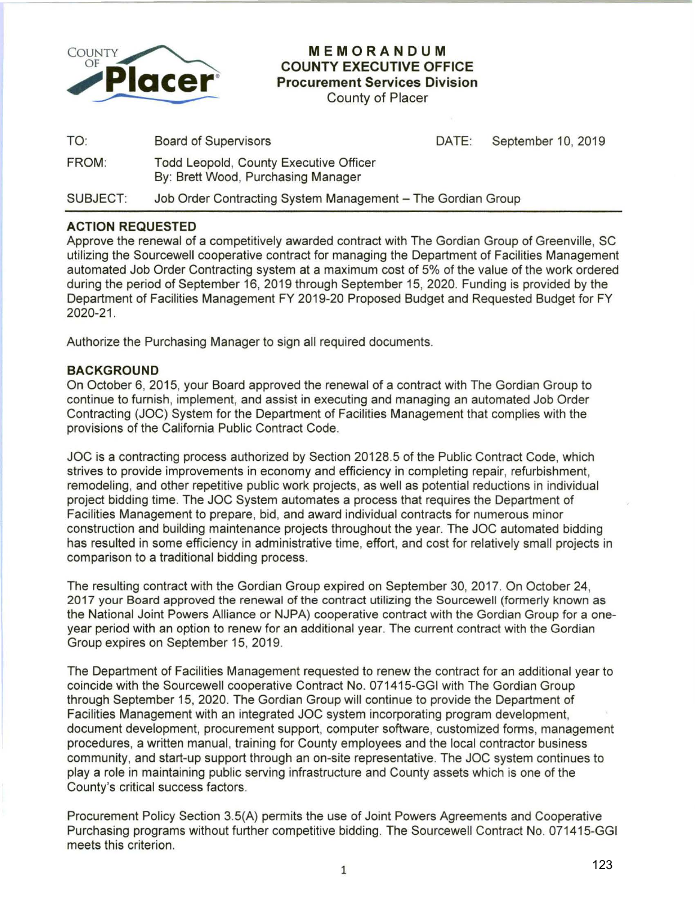

## **MEMORANDUM COUNTY EXECUTIVE OFFICE Procurement Services Division**

County of Placer

| SUBJECT: | Job Order Contracting System Management - The Gordian Group                  |       |                    |
|----------|------------------------------------------------------------------------------|-------|--------------------|
| FROM:    | Todd Leopold, County Executive Officer<br>By: Brett Wood, Purchasing Manager |       |                    |
| TO:      | <b>Board of Supervisors</b>                                                  | DATE: | September 10, 2019 |
|          |                                                                              |       |                    |

## **ACTION REQUESTED**

Approve the renewal of a competitively awarded contract with The Gordian Group of Greenville, SC utilizing the Sourcewell cooperative contract for managing the Department of Facilities Management automated Job Order Contracting system at a maximum cost of 5% of the value of the work ordered during the period of September 16, 2019 through September 15, 2020. Funding is provided by the Department of Facilities Management FY 2019-20 Proposed Budget and Requested Budget for FY 2020-21 .

Authorize the Purchasing Manager to sign all required documents.

## **BACKGROUND**

On October 6, 2015, your Board approved the renewal of a contract with The Gordian Group to continue to furnish, implement, and assist in executing and managing an automated Job Order Contracting (JOC) System for the Department of Facilities Management that complies with the provisions of the California Public Contract Code.

JOC is a contracting process authorized by Section 20128.5 of the Public Contract Code, which strives to provide improvements in economy and efficiency in completing repair, refurbishment, remodeling, and other repetitive public work projects, as well as potential reductions in individual project bidding time. The JOC System automates a process that requires the Department of Facilities Management to prepare, bid, and award individual contracts for numerous minor construction and building maintenance projects throughout the year. The JOC automated bidding has resulted in some efficiency in administrative time, effort, and cost for relatively small projects in comparison to a traditional bidding process.

The resulting contract with the Gordian Group expired on September 30, 2017. On October 24, 2017 your Board approved the renewal of the contract utilizing the Sourcewell (formerly known as the National Joint Powers Alliance or NJPA) cooperative contract with the Gordian Group for a oneyear period with an option to renew for an additional year. The current contract with the Gordian Group expires on September 15, 2019.

The Department of Facilities Management requested to renew the contract for an additional year to coincide with the Sourcewell cooperative Contract No. 071415-GGI with The Gordian Group through September 15, 2020. The Gordian Group will continue to provide the Department of Facilities Management with an integrated JOC system incorporating program development, document development, procurement support, computer software, customized forms, management procedures, a written manual, training for County employees and the local contractor business community, and start-up support through an on-site representative. The JOC system continues to play a role in maintaining public serving infrastructure and County assets which is one of the County's critical success factors.

Procurement Policy Section 3.5(A) permits the use of Joint Powers Agreements and Cooperative Purchasing programs without further competitive bidding. The Sourcewell Contract No. 071415-GGI meets this criterion.